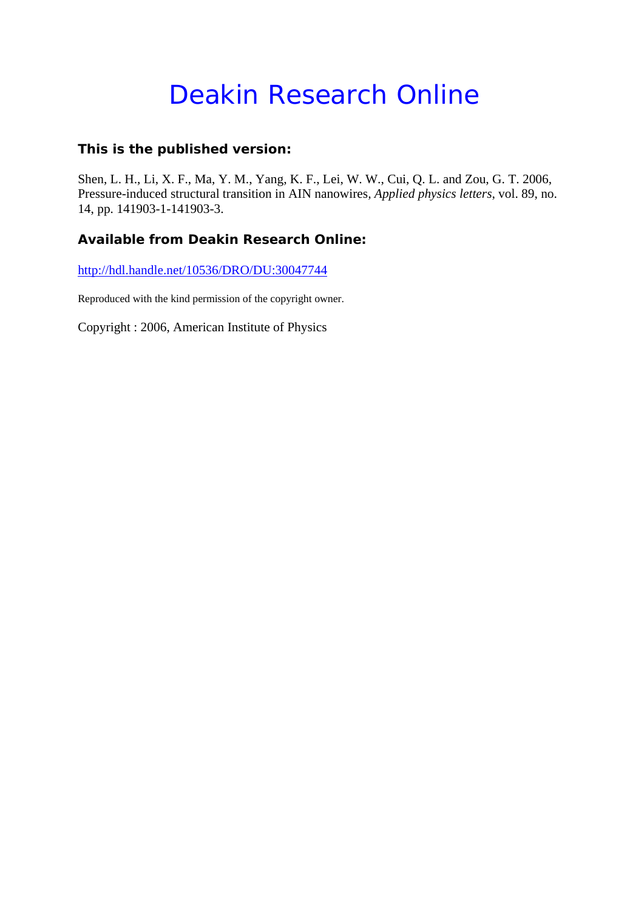# Deakin Research Online

## **This is the published version:**

Shen, L. H., Li, X. F., Ma, Y. M., Yang, K. F., Lei, W. W., Cui, Q. L. and Zou, G. T. 2006, Pressure-induced structural transition in AIN nanowires*, Applied physics letters*, vol. 89, no. 14, pp. 141903-1-141903-3.

## **Available from Deakin Research Online:**

http://hdl.handle.net/10536/DRO/DU:30047744

Reproduced with the kind permission of the copyright owner.

Copyright : 2006, American Institute of Physics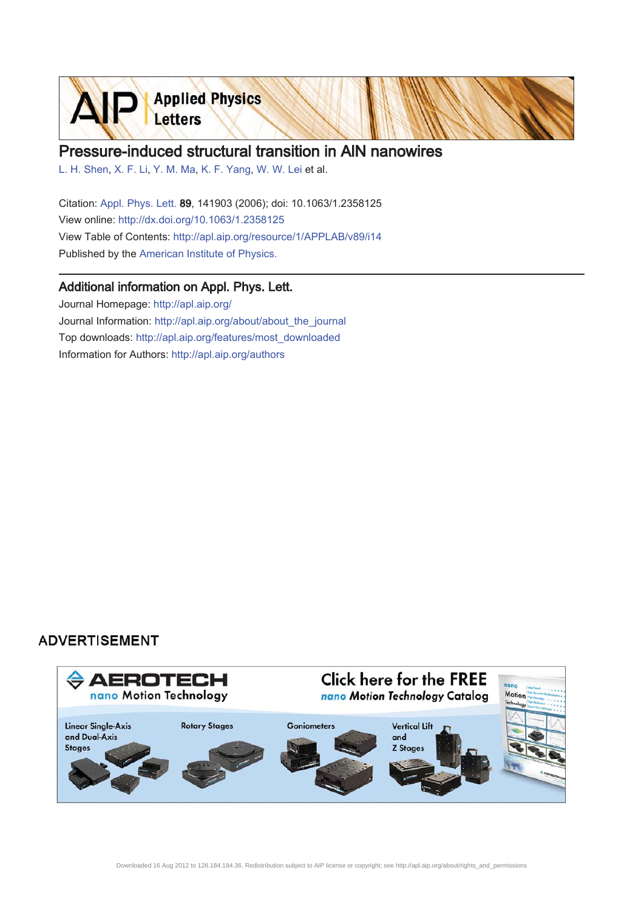

# Pressure-induced structural transition in AIN nanowires

L. H. Shen, X. F. Li, Y. M. Ma, K. F. Yang, W. W. Lei et al.

Citation: Appl. Phys. Lett. 89, 141903 (2006); doi: 10.1063/1.2358125 View online: http://dx.doi.org/10.1063/1.2358125 View Table of Contents: http://apl.aip.org/resource/1/APPLAB/v89/i14 Published by the American Institute of Physics.

#### Additional information on Appl. Phys. Lett.

Journal Homepage: http://apl.aip.org/ Journal Information: http://apl.aip.org/about/about\_the\_journal Top downloads: http://apl.aip.org/features/most\_downloaded Information for Authors: http://apl.aip.org/authors

### **ADVERTISEMENT**

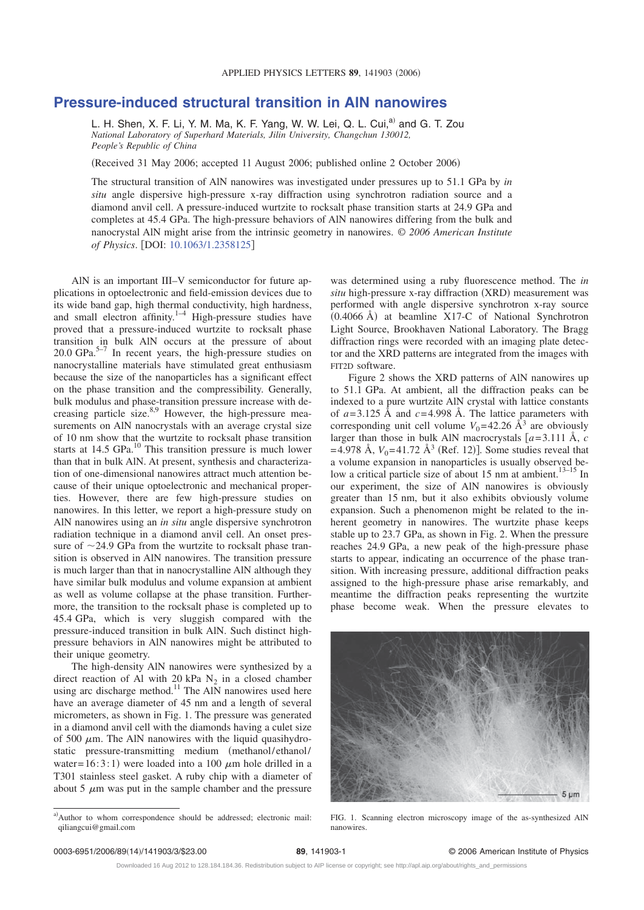#### **Pressure-induced structural transition in AlN nanowires**

L. H. Shen, X. F. Li, Y. M. Ma, K. F. Yang, W. W. Lei, Q. L. Cui,<sup>a)</sup> and G. T. Zou *National Laboratory of Superhard Materials, Jilin University, Changchun 130012, People's Republic of China*

(Received 31 May 2006; accepted 11 August 2006; published online 2 October 2006)

The structural transition of AlN nanowires was investigated under pressures up to 51.1 GPa by *in situ* angle dispersive high-pressure x-ray diffraction using synchrotron radiation source and a diamond anvil cell. A pressure-induced wurtzite to rocksalt phase transition starts at 24.9 GPa and completes at 45.4 GPa. The high-pressure behaviors of AlN nanowires differing from the bulk and nanocrystal AlN might arise from the intrinsic geometry in nanowires. © *2006 American Institute of Physics*. DOI: 10.1063/1.2358125

AlN is an important III–V semiconductor for future applications in optoelectronic and field-emission devices due to its wide band gap, high thermal conductivity, high hardness, and small electron affinity. $1-4$  High-pressure studies have proved that a pressure-induced wurtzite to rocksalt phase transition in bulk AlN occurs at the pressure of about  $20.0 \text{ GPa.}^{5-7}$  In recent years, the high-pressure studies on nanocrystalline materials have stimulated great enthusiasm because the size of the nanoparticles has a significant effect on the phase transition and the compressibility. Generally, bulk modulus and phase-transition pressure increase with decreasing particle size.<sup>8,9</sup> However, the high-pressure measurements on AlN nanocrystals with an average crystal size of 10 nm show that the wurtzite to rocksalt phase transition starts at 14.5 GPa.<sup>10</sup> This transition pressure is much lower than that in bulk AlN. At present, synthesis and characterization of one-dimensional nanowires attract much attention because of their unique optoelectronic and mechanical properties. However, there are few high-pressure studies on nanowires. In this letter, we report a high-pressure study on AlN nanowires using an *in situ* angle dispersive synchrotron radiation technique in a diamond anvil cell. An onset pressure of  $\sim$ 24.9 GPa from the wurtzite to rocksalt phase transition is observed in AlN nanowires. The transition pressure is much larger than that in nanocrystalline AlN although they have similar bulk modulus and volume expansion at ambient as well as volume collapse at the phase transition. Furthermore, the transition to the rocksalt phase is completed up to 45.4 GPa, which is very sluggish compared with the pressure-induced transition in bulk AlN. Such distinct highpressure behaviors in AlN nanowires might be attributed to their unique geometry.

The high-density AlN nanowires were synthesized by a direct reaction of Al with 20 kPa  $N_2$  in a closed chamber using arc discharge method.<sup>11</sup> The AlN nanowires used here have an average diameter of 45 nm and a length of several micrometers, as shown in Fig. 1. The pressure was generated in a diamond anvil cell with the diamonds having a culet size of 500  $\mu$ m. The AlN nanowires with the liquid quasihydrostatic pressure-transmitting medium (methanol/ethanol/ water=  $16:3:1$ ) were loaded into a 100  $\mu$ m hole drilled in a T301 stainless steel gasket. A ruby chip with a diameter of about 5  $\mu$ m was put in the sample chamber and the pressure

was determined using a ruby fluorescence method. The *in* situ high-pressure x-ray diffraction (XRD) measurement was performed with angle dispersive synchrotron x-ray source (0.4066 Å) at beamline X17-C of National Synchrotron Light Source, Brookhaven National Laboratory. The Bragg diffraction rings were recorded with an imaging plate detector and the XRD patterns are integrated from the images with FIT2D software.

Figure 2 shows the XRD patterns of AlN nanowires up to 51.1 GPa. At ambient, all the diffraction peaks can be indexed to a pure wurtzite AlN crystal with lattice constants of  $a = 3.125$  Å and  $c = 4.998$  Å. The lattice parameters with corresponding unit cell volume  $V_0$ =42.26 Å<sup>3</sup> are obviously larger than those in bulk AlN macrocrystals  $[a=3.111 \text{ Å}, c]$  $= 4.978$  Å,  $V_0 = 41.72$  Å<sup>3</sup> (Ref. 12)]. Some studies reveal that a volume expansion in nanoparticles is usually observed below a critical particle size of about 15 nm at ambient.<sup>13–15</sup> In our experiment, the size of AlN nanowires is obviously greater than 15 nm, but it also exhibits obviously volume expansion. Such a phenomenon might be related to the inherent geometry in nanowires. The wurtzite phase keeps stable up to 23.7 GPa, as shown in Fig. 2. When the pressure reaches 24.9 GPa, a new peak of the high-pressure phase starts to appear, indicating an occurrence of the phase transition. With increasing pressure, additional diffraction peaks assigned to the high-pressure phase arise remarkably, and meantime the diffraction peaks representing the wurtzite phase become weak. When the pressure elevates to



FIG. 1. Scanning electron microscopy image of the as-synthesized AlN nanowires.

/141903/3/\$23.00 © 2006 American Institute of Physics **89**, 141903-1

a)Author to whom correspondence should be addressed; electronic mail: qiliangcui@gmail.com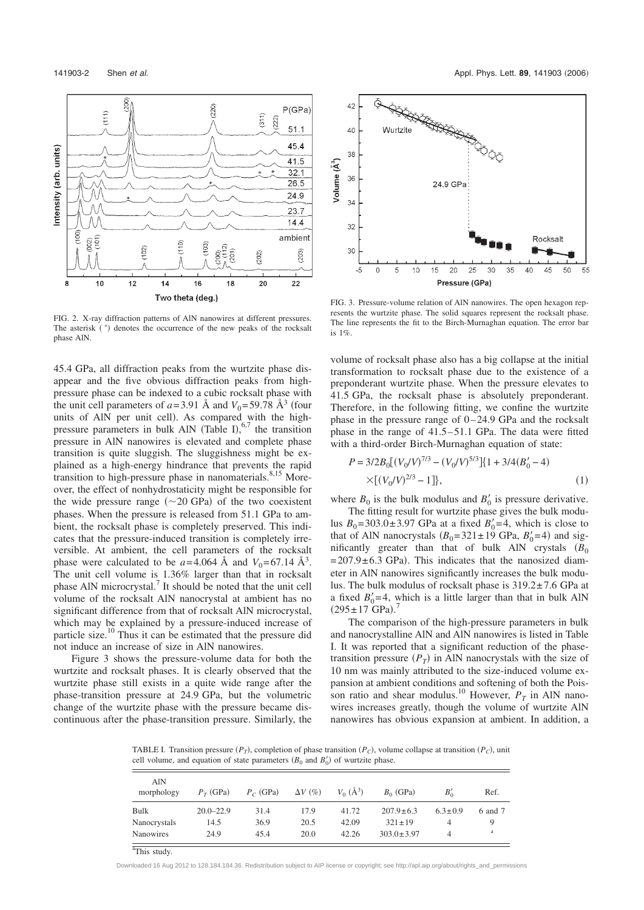

FIG. 2. X-ray diffraction patterns of AlN nanowires at different pressures. The asterisk (\*) denotes the occurrence of the new peaks of the rocksalt phase AlN.

45.4 GPa, all diffraction peaks from the wurtzite phase disappear and the five obvious diffraction peaks from highpressure phase can be indexed to a cubic rocksalt phase with the unit cell parameters of  $a = 3.91$  Å and  $V_0 = 59.78$  Å<sup>3</sup> (four units of AlN per unit cell. As compared with the highpressure parameters in bulk AlN (Table I), $67$  the transition pressure in AlN nanowires is elevated and complete phase transition is quite sluggish. The sluggishness might be explained as a high-energy hindrance that prevents the rapid transition to high-pressure phase in nanomaterials.<sup>8,15</sup> Moreover, the effect of nonhydrostaticity might be responsible for the wide pressure range  $(\sim 20 \text{ GPa})$  of the two coexistent phases. When the pressure is released from 51.1 GPa to ambient, the rocksalt phase is completely preserved. This indicates that the pressure-induced transition is completely irreversible. At ambient, the cell parameters of the rocksalt phase were calculated to be  $a=4.064 \text{ Å}$  and  $V_0=67.14 \text{ Å}^3$ . The unit cell volume is 1.36% larger than that in rocksalt phase AlN microcrystal.7 It should be noted that the unit cell volume of the rocksalt AlN nanocrystal at ambient has no significant difference from that of rocksalt AlN microcrystal, which may be explained by a pressure-induced increase of particle size. $\frac{10}{2}$  Thus it can be estimated that the pressure did not induce an increase of size in AlN nanowires.

Figure 3 shows the pressure-volume data for both the wurtzite and rocksalt phases. It is clearly observed that the wurtzite phase still exists in a quite wide range after the phase-transition pressure at 24.9 GPa, but the volumetric change of the wurtzite phase with the pressure became discontinuous after the phase-transition pressure. Similarly, the



FIG. 3. Pressure-volume relation of AlN nanowires. The open hexagon represents the wurtzite phase. The solid squares represent the rocksalt phase. The line represents the fit to the Birch-Murnaghan equation. The error bar is 1%.

volume of rocksalt phase also has a big collapse at the initial transformation to rocksalt phase due to the existence of a preponderant wurtzite phase. When the pressure elevates to 41.5 GPa, the rocksalt phase is absolutely preponderant. Therefore, in the following fitting, we confine the wurtzite phase in the pressure range of  $0-24.9$  GPa and the rocksalt phase in the range of 41.5– 51.1 GPa. The data were fitted with a third-order Birch-Murnaghan equation of state:

$$
P = 3/2B_0[(V_0/V)^{7/3} - (V_0/V)^{5/3}][1 + 3/4(B'_0 - 4)
$$
  
×[(V\_0/V)^{2/3} - 1], (1)

where  $B_0$  is the bulk modulus and  $B'_0$  is pressure derivative.

The fitting result for wurtzite phase gives the bulk modulus  $B_0 = 303.0 \pm 3.97$  GPa at a fixed  $B'_0 = 4$ , which is close to that of AlN nanocrystals  $(B_0=321 \pm 19 \text{ GPa}, B'_0=4)$  and significantly greater than that of bulk AlN crystals  $(B_0$  $= 207.9 \pm 6.3$  GPa). This indicates that the nanosized diameter in AlN nanowires significantly increases the bulk modulus. The bulk modulus of rocksalt phase is 319.2± 7.6 GPa at a fixed  $B_0'$ =4, which is a little larger than that in bulk AlN  $(295 \pm 17 \text{ GPa})$ .<sup>7</sup>

The comparison of the high-pressure parameters in bulk and nanocrystalline AlN and AlN nanowires is listed in Table I. It was reported that a significant reduction of the phasetransition pressure  $(P_T)$  in AlN nanocrystals with the size of 10 nm was mainly attributed to the size-induced volume expansion at ambient conditions and softening of both the Poisson ratio and shear modulus.<sup>10</sup> However,  $P_T$  in AlN nanowires increases greatly, though the volume of wurtzite AlN nanowires has obvious expansion at ambient. In addition, a

TABLE I. Transition pressure  $(P_T)$ , completion of phase transition  $(P_C)$ , volume collapse at transition  $(P_C)$ , unit cell volume, and equation of state parameters  $(B_0 \text{ and } B'_0)$  of wurtzite phase.

| AIN<br>morphology | $P_T$ (GPa)   | $P_C$ (GPa) | $\Delta V$ (%) | $V_0$ $(\AA^3)$ | $B_0$ (GPa)      | $B_0'$        | Ref.    |
|-------------------|---------------|-------------|----------------|-----------------|------------------|---------------|---------|
| Bulk              | $20.0 - 22.9$ | 31.4        | 17.9           | 41.72           | $207.9 \pm 6.3$  | $6.3 \pm 0.9$ | 6 and 7 |
| Nanocrystals      | 14.5          | 36.9        | 20.5           | 42.09           | $321 \pm 19$     | 4             |         |
| <b>Nanowires</b>  | 24.9          | 45.4        | 20.0           | 42.26           | $303.0 \pm 3.97$ | 4             | a       |

<sup>a</sup>This study.

Downloaded 16 Aug 2012 to 128.184.184.36. Redistribution subject to AIP license or copyright; see http://apl.aip.org/about/rights\_and\_permissions